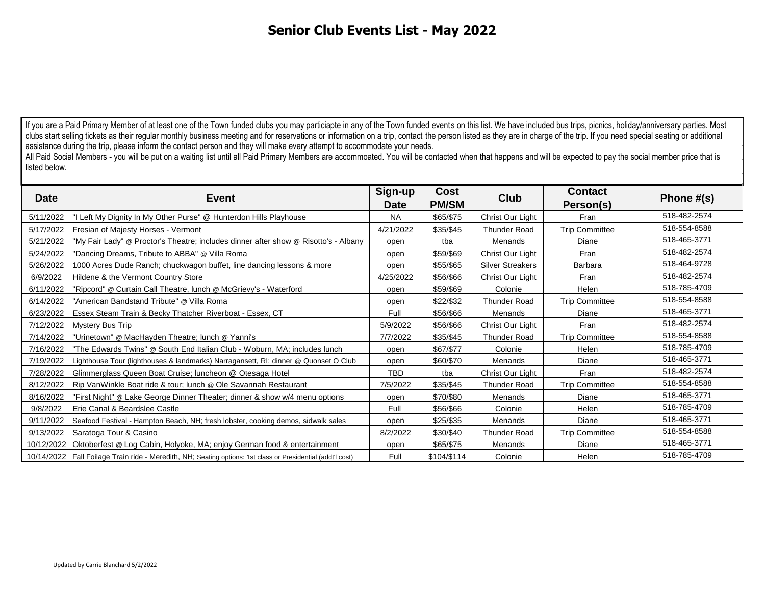If you are a Paid Primary Member of at least one of the Town funded clubs you may particiapte in any of the Town funded events on this list. We have included bus trips, picnics, holiday/anniversary parties. Most clubs start selling tickets as their regular monthly business meeting and for reservations or information on a trip, contact the person listed as they are in charge of the trip. If you need special seating or additional assistance during the trip, please inform the contact person and they will make every attempt to accommodate your needs. clubs start selling tickets as their regular monthly business meeting and for reservations or information on a trip, contact the person listed as they are in charge of the trip. If you need special seating or additional as

All Paid Social Members - you will be put on a waiting list until all Paid Primary Members are accommoated. You will be contacted when that happens and will be expected to pay the social member price that is listed below.

| <b>Date</b> | Event                                                                                                         | Sign-up<br><b>Date</b> | Cost<br><b>PM/SM</b> | Club                    | <b>Contact</b><br>Person(s) | Phone $#(s)$ |
|-------------|---------------------------------------------------------------------------------------------------------------|------------------------|----------------------|-------------------------|-----------------------------|--------------|
| 5/11/2022   | "I Left My Dignity In My Other Purse" @ Hunterdon Hills Playhouse                                             | <b>NA</b>              | \$65/\$75            | Christ Our Light        | Fran                        | 518-482-2574 |
| 5/17/2022   | Fresian of Majesty Horses - Vermont                                                                           | 4/21/2022              | \$35/\$45            | <b>Thunder Road</b>     | <b>Trip Committee</b>       | 518-554-8588 |
| 5/21/2022   | "My Fair Lady" @ Proctor's Theatre; includes dinner after show @ Risotto's - Albany                           | open                   | tba                  | <b>Menands</b>          | Diane                       | 518-465-3771 |
| 5/24/2022   | "Dancing Dreams, Tribute to ABBA" @ Villa Roma                                                                | open                   | \$59/\$69            | Christ Our Light        | Fran                        | 518-482-2574 |
| 5/26/2022   | 1000 Acres Dude Ranch; chuckwagon buffet, line dancing lessons & more                                         | open                   | \$55/\$65            | <b>Silver Streakers</b> | Barbara                     | 518-464-9728 |
| 6/9/2022    | Hildene & the Vermont Country Store                                                                           | 4/25/2022              | \$56/\$66            | Christ Our Light        | Fran                        | 518-482-2574 |
| 6/11/2022   | "Ripcord" @ Curtain Call Theatre, lunch @ McGrievy's - Waterford                                              | open                   | \$59/\$69            | Colonie                 | Helen                       | 518-785-4709 |
| 6/14/2022   | "American Bandstand Tribute" @ Villa Roma                                                                     | open                   | \$22/\$32            | <b>Thunder Road</b>     | <b>Trip Committee</b>       | 518-554-8588 |
| 6/23/2022   | Essex Steam Train & Becky Thatcher Riverboat - Essex, CT                                                      | Full                   | \$56/\$66            | Menands                 | Diane                       | 518-465-3771 |
| 7/12/2022   | <b>Mystery Bus Trip</b>                                                                                       | 5/9/2022               | \$56/\$66            | Christ Our Light        | Fran                        | 518-482-2574 |
| 7/14/2022   | "Urinetown" @ MacHayden Theatre; lunch @ Yanni's                                                              | 7/7/2022               | \$35/\$45            | <b>Thunder Road</b>     | <b>Trip Committee</b>       | 518-554-8588 |
| 7/16/2022   | "The Edwards Twins" @ South End Italian Club - Woburn, MA; includes lunch                                     | open                   | \$67/\$77            | Colonie                 | Helen                       | 518-785-4709 |
| 7/19/2022   | Lighthouse Tour (lighthouses & landmarks) Narragansett, RI; dinner @ Quonset O Club                           | open                   | \$60/\$70            | Menands                 | Diane                       | 518-465-3771 |
| 7/28/2022   | Glimmerglass Queen Boat Cruise; luncheon @ Otesaga Hotel                                                      | <b>TBD</b>             | tba                  | Christ Our Light        | Fran                        | 518-482-2574 |
| 8/12/2022   | Rip VanWinkle Boat ride & tour; lunch @ Ole Savannah Restaurant                                               | 7/5/2022               | \$35/\$45            | <b>Thunder Road</b>     | <b>Trip Committee</b>       | 518-554-8588 |
| 8/16/2022   | "First Night" @ Lake George Dinner Theater; dinner & show w/4 menu options                                    | open                   | \$70/\$80            | Menands                 | Diane                       | 518-465-3771 |
| 9/8/2022    | Erie Canal & Beardslee Castle                                                                                 | Full                   | \$56/\$66            | Colonie                 | Helen                       | 518-785-4709 |
| 9/11/2022   | Seafood Festival - Hampton Beach, NH; fresh lobster, cooking demos, sidwalk sales                             | open                   | \$25/\$35            | Menands                 | Diane                       | 518-465-3771 |
| 9/13/2022   | Saratoga Tour & Casino                                                                                        | 8/2/2022               | \$30/\$40            | <b>Thunder Road</b>     | <b>Trip Committee</b>       | 518-554-8588 |
|             | 10/12/2022 Oktoberfest @ Log Cabin, Holyoke, MA; enjoy German food & entertainment                            | open                   | \$65/\$75            | Menands                 | Diane                       | 518-465-3771 |
|             | 10/14/2022   Fall Foilage Train ride - Meredith, NH; Seating options: 1st class or Presidential (addt'l cost) | Full                   | \$104/\$114          | Colonie                 | Helen                       | 518-785-4709 |